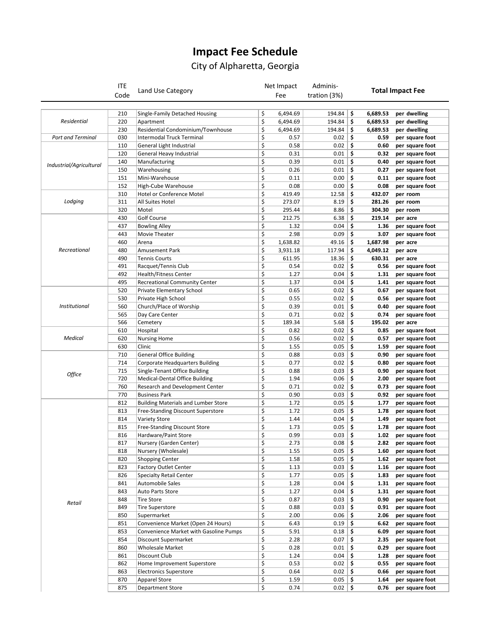## **Impact Fee Schedule**

## City of Alpharetta, Georgia

|                          | <b>ITE</b> |                                               |          | Net Impact       | Adminis-       |                         |                  |                             |
|--------------------------|------------|-----------------------------------------------|----------|------------------|----------------|-------------------------|------------------|-----------------------------|
|                          | Code       | Land Use Category                             |          | Fee              | tration (3%)   | <b>Total Impact Fee</b> |                  |                             |
|                          |            |                                               |          |                  |                |                         |                  |                             |
| Residential              | 210        | Single-Family Detached Housing                | \$       | 6,494.69         | 194.84         | \$                      | 6,689.53         | per dwelling                |
|                          | 220        | Apartment                                     | \$       | 6,494.69         | 194.84         | \$                      | 6,689.53         | per dwelling                |
|                          | 230        | Residential Condominium/Townhouse             | \$       | 6,494.69         | 194.84         | \$                      | 6,689.53         | per dwelling                |
| <b>Port and Terminal</b> | 030        | Intermodal Truck Terminal                     | \$       | 0.57             | 0.02           | \$                      | 0.59             | per square foot             |
|                          | 110        | General Light Industrial                      | \$       | 0.58             | 0.02           | \$                      | 0.60             | per square foot             |
| Industrial/Agricultural  | 120        | General Heavy Industrial                      | \$       | 0.31             | 0.01           | \$                      | 0.32             | per square foot             |
|                          | 140        | Manufacturing                                 | \$       | 0.39             | 0.01           | \$                      | 0.40             | per square foot             |
|                          | 150        | Warehousing                                   | \$       | 0.26             | 0.01           | \$                      | 0.27             | per square foot             |
|                          | 151        | Mini-Warehouse                                | \$       | 0.11             | 0.00           | \$                      | 0.11             | per square foot             |
|                          | 152        | High-Cube Warehouse                           | \$<br>\$ | 0.08             | 0.00           | \$<br>\$                | 0.08             | per square foot             |
|                          | 310<br>311 | Hotel or Conference Motel<br>All Suites Hotel | \$       | 419.49<br>273.07 | 12.58<br>8.19  | \$                      | 432.07<br>281.26 | per room                    |
| Lodging                  |            |                                               | \$       |                  |                | \$                      |                  | per room                    |
|                          | 320<br>430 | Motel<br>Golf Course                          | \$       | 295.44<br>212.75 | 8.86<br>6.38   | \$                      | 304.30<br>219.14 | per room<br>per acre        |
|                          | 437        | <b>Bowling Alley</b>                          | \$       | 1.32             | 0.04           | \$                      | 1.36             |                             |
|                          | 443        | Movie Theater                                 | \$       | 2.98             | 0.09           | \$                      | 3.07             | per square foot             |
|                          | 460        | Arena                                         | \$       | 1,638.82         | 49.16          | \$                      | 1,687.98         | per square foot<br>per acre |
| Recreational             | 480        | Amusement Park                                | \$       | 3,931.18         | 117.94         | \$                      | 4,049.12         | per acre                    |
|                          | 490        | <b>Tennis Courts</b>                          | \$       | 611.95           | 18.36          | \$                      | 630.31           | per acre                    |
|                          | 491        | Racquet/Tennis Club                           | \$       | 0.54             | 0.02           | \$                      | 0.56             | per square foot             |
|                          | 492        | <b>Health/Fitness Center</b>                  | \$       | 1.27             | 0.04           | \$                      | 1.31             | per square foot             |
|                          | 495        | <b>Recreational Community Center</b>          | \$       | 1.37             | 0.04           | \$                      | 1.41             | per square foot             |
|                          | 520        | Private Elementary School                     | \$       | 0.65             | 0.02           | \$                      | 0.67             | per square foot             |
|                          | 530        | Private High School                           | \$       | 0.55             | 0.02           | \$                      | 0.56             | per square foot             |
| <b>Institutional</b>     | 560        | Church/Place of Worship                       | \$       | 0.39             | 0.01           | \$                      | 0.40             | per square foot             |
|                          | 565        | Day Care Center                               | \$       | 0.71             | 0.02           | \$                      | 0.74             | per square foot             |
|                          | 566        | Cemetery                                      | \$       | 189.34           | 5.68           | \$                      | 195.02           | per acre                    |
|                          | 610        | Hospital                                      | \$       | 0.82             | 0.02           | \$                      | 0.85             | per square foot             |
| <b>Medical</b>           | 620        | <b>Nursing Home</b>                           | \$       | 0.56             | 0.02           | \$                      | 0.57             | per square foot             |
|                          | 630        | Clinic                                        | \$       | 1.55             | 0.05           | \$                      | 1.59             | per square foot             |
|                          | 710        | <b>General Office Building</b>                | \$       | 0.88             | 0.03           | \$                      | 0.90             | per square foot             |
|                          | 714        | Corporate Headquarters Building               | \$       | 0.77             | 0.02           | \$                      | 0.80             | per square foot             |
|                          | 715        | Single-Tenant Office Building                 | \$       | 0.88             | 0.03           | \$                      | 0.90             | per square foot             |
| Office                   | 720        | Medical-Dental Office Building                | \$       | 1.94             | 0.06           | \$                      | 2.00             | per square foot             |
|                          | 760        | Research and Development Center               | \$       | 0.71             | 0.02           | \$                      | 0.73             | per square foot             |
|                          | 770        | <b>Business Park</b>                          | \$       | 0.90             | 0.03           | \$                      | 0.92             | per square foot             |
|                          | 812        | <b>Building Materials and Lumber Store</b>    | \$       | 1.72             | 0.05           | \$                      | 1.77             | per square foot             |
|                          | 813        | Free-Standing Discount Superstore             | \$       | 1.72             | 0.05           | \$                      | 1.78             | per square foot             |
|                          | 814        | Variety Store                                 | \$       | 1.44             | 0.04           | \$                      | 1.49             | per square foot             |
|                          | 815        | Free-Standing Discount Store                  | \$       | 1.73             | 0.05           | \$                      | 1.78             | per square foot             |
|                          | 816        | Hardware/Paint Store                          | \$       | 0.99             | 0.03           | \$                      | 1.02             | per square foot             |
| Retail                   | 817        | Nursery (Garden Center)                       | Ş        | 2.73             | 0.08           | Ş                       | 2.82             | per square foot             |
|                          | 818        | Nursery (Wholesale)                           | \$       | 1.55             | 0.05           | \$                      | 1.60             | per square foot             |
|                          | 820        | <b>Shopping Center</b>                        | \$       | 1.58             | 0.05           | \$                      | 1.62             | per square foot             |
|                          | 823        | <b>Factory Outlet Center</b>                  | \$       | 1.13             | 0.03           | \$                      | 1.16             | per square foot             |
|                          | 826        | <b>Specialty Retail Center</b>                | \$       | 1.77             | 0.05           | \$                      | 1.83             | per square foot             |
|                          | 841        | Automobile Sales                              | \$       | 1.28             | 0.04           | \$                      | 1.31             | per square foot             |
|                          | 843        | Auto Parts Store                              | \$       | 1.27             | 0.04           | \$                      | 1.31             | per square foot             |
|                          | 848        | <b>Tire Store</b>                             | \$       | 0.87             | $0.03$ \$      |                         | 0.90             | per square foot             |
|                          | 849        | <b>Tire Superstore</b>                        | \$       | 0.88             | 0.03           | \$                      | 0.91             | per square foot             |
|                          | 850        | Supermarket                                   | \$       | 2.00             | 0.06           | \$                      | 2.06             | per square foot             |
|                          | 851        | Convenience Market (Open 24 Hours)            | \$       | 6.43             | $0.19$ \$      |                         | 6.62             | per square foot             |
|                          | 853        | Convenience Market with Gasoline Pumps        | \$       | 5.91             | $0.18$ \$      |                         | 6.09             | per square foot             |
|                          | 854        | Discount Supermarket                          | \$       | 2.28             | 0.07           | \$                      | 2.35             | per square foot             |
|                          | 860        | Wholesale Market                              | \$       | 0.28             | $0.01$ \$      |                         | 0.29             | per square foot             |
|                          | 861        | Discount Club                                 | \$       | 1.24             | $0.04$ \$      |                         | 1.28             | per square foot             |
|                          | 862        | Home Improvement Superstore                   | \$       | 0.53             | 0.02           | \$                      | 0.55             | per square foot             |
|                          | 863        | <b>Electronics Superstore</b>                 | \$       | 0.64             | $0.02$ \$      |                         | 0.66             | per square foot             |
|                          | 870        | <b>Apparel Store</b>                          | \$       | 1.59             | $0.05 \mid$ \$ |                         | 1.64             | per square foot             |
|                          | 875        | <b>Department Store</b>                       | \$       | 0.74             | $0.02$ \$      |                         | 0.76             | per square foot             |